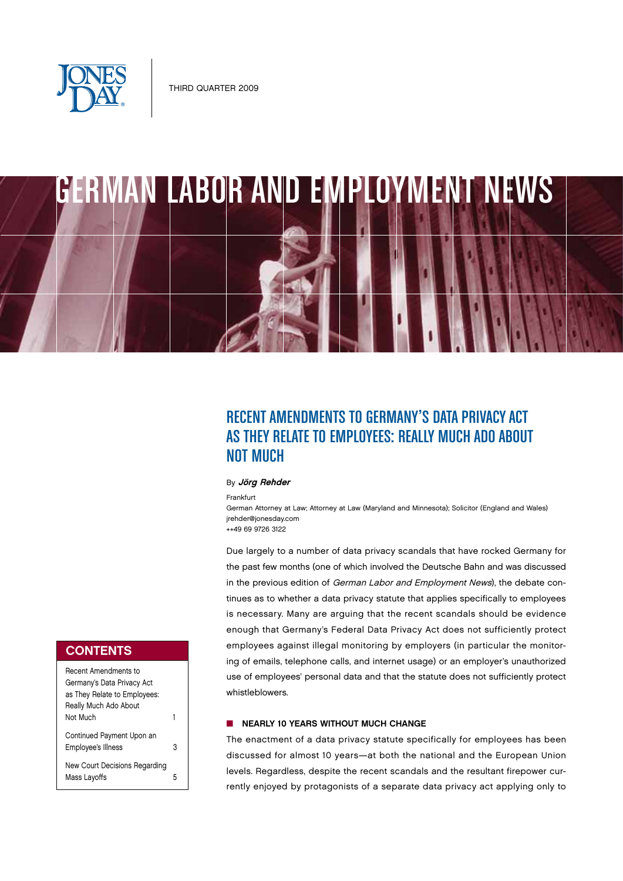

# GERMAN LABOR AND EMPLOYMENT NEWS

# RECENT AMENDMENTS TO GERMANY'S DATA PRIVACY ACT AS THEY RELATE TO EMPLOYEES: REALLY MUCH ADO ABOUT NOT MUCH

### By Jörg Rehder

Frankfurt

German Attorney at Law; Attorney at Law (Maryland and Minnesota); Solicitor (England and Wales) jrehder@jonesday.com

++49 69 9726 3122

Due largely to a number of data privacy scandals that have rocked Germany for the past few months (one of which involved the Deutsche Bahn and was discussed in the previous edition of German Labor and Employment News), the debate continues as to whether a data privacy statute that applies specifically to employees is necessary. Many are arguing that the recent scandals should be evidence enough that Germany's Federal Data Privacy Act does not sufficiently protect employees against illegal monitoring by employers (in particular the monitoring of emails, telephone calls, and internet usage) or an employer's unauthorized use of employees' personal data and that the statute does not sufficiently protect whistleblowers.

## $\blacksquare$  NEARLY 10 YEARS WITHOUT MUCH CHANGE

The enactment of a data privacy statute specifically for employees has been discussed for almost 10 years—at both the national and the European Union levels. Regardless, despite the recent scandals and the resultant firepower currently enjoyed by protagonists of a separate data privacy act applying only to

# **CONTENTS**

| <b>Recent Amendments to</b><br>Germany's Data Privacy Act<br>as They Relate to Employees: |   |
|-------------------------------------------------------------------------------------------|---|
| Really Much Ado About<br>Not Much                                                         |   |
| Continued Payment Upon an<br>Employee's Illness                                           | 3 |
| New Court Decisions Regarding<br>Mass Layoffs                                             | h |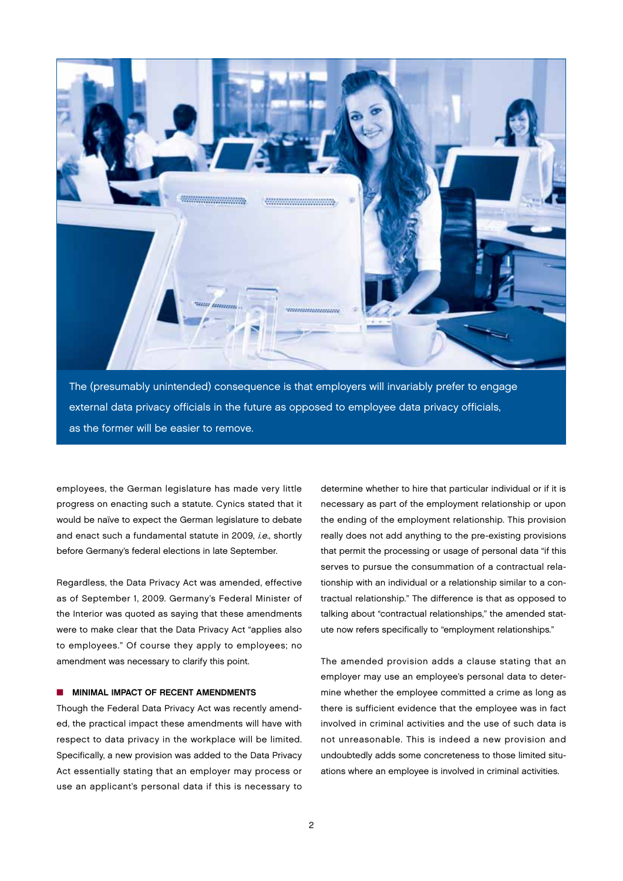

The (presumably unintended) consequence is that employers will invariably prefer to engage external data privacy officials in the future as opposed to employee data privacy officials, as the former will be easier to remove.

employees, the German legislature has made very little progress on enacting such a statute. Cynics stated that it would be naïve to expect the German legislature to debate and enact such a fundamental statute in 2009, i.e., shortly before Germany's federal elections in late September.

Regardless, the Data Privacy Act was amended, effective as of September 1, 2009. Germany's Federal Minister of the Interior was quoted as saying that these amendments were to make clear that the Data Privacy Act "applies also to employees." Of course they apply to employees; no amendment was necessary to clarify this point.

# **MINIMAL IMPACT OF RECENT AMENDMENTS**

Though the Federal Data Privacy Act was recently amended, the practical impact these amendments will have with respect to data privacy in the workplace will be limited. Specifically, a new provision was added to the Data Privacy Act essentially stating that an employer may process or use an applicant's personal data if this is necessary to

determine whether to hire that particular individual or if it is necessary as part of the employment relationship or upon the ending of the employment relationship. This provision really does not add anything to the pre-existing provisions that permit the processing or usage of personal data "if this serves to pursue the consummation of a contractual relationship with an individual or a relationship similar to a contractual relationship." The difference is that as opposed to talking about "contractual relationships," the amended statute now refers specifically to "employment relationships."

The amended provision adds a clause stating that an employer may use an employee's personal data to determine whether the employee committed a crime as long as there is sufficient evidence that the employee was in fact involved in criminal activities and the use of such data is not unreasonable. This is indeed a new provision and undoubtedly adds some concreteness to those limited situations where an employee is involved in criminal activities.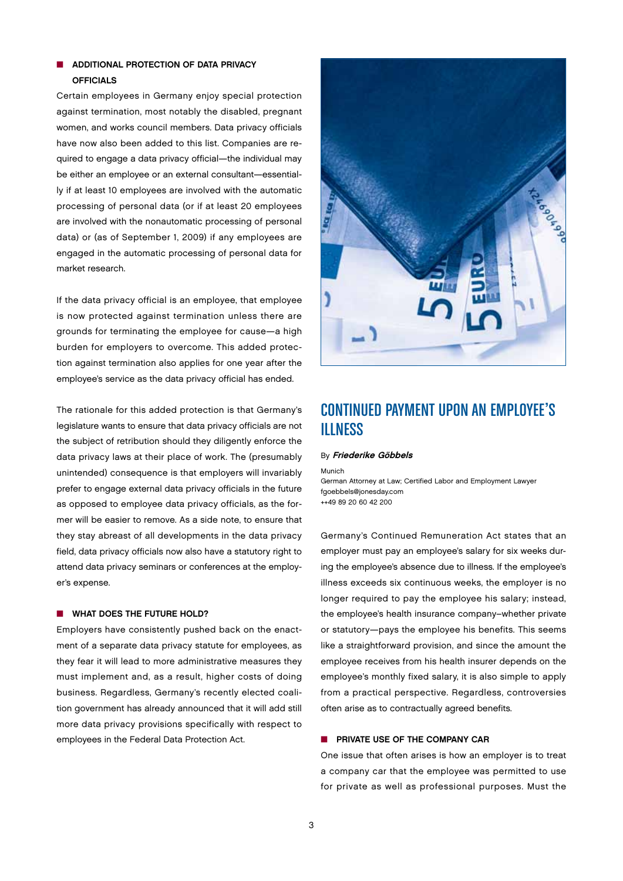# **N** ADDITIONAL PROTECTION OF DATA PRIVACY Officials

Certain employees in Germany enjoy special protection against termination, most notably the disabled, pregnant women, and works council members. Data privacy officials have now also been added to this list. Companies are required to engage a data privacy official—the individual may be either an employee or an external consultant—essentially if at least 10 employees are involved with the automatic processing of personal data (or if at least 20 employees are involved with the nonautomatic processing of personal data) or (as of September 1, 2009) if any employees are engaged in the automatic processing of personal data for market research.

If the data privacy official is an employee, that employee is now protected against termination unless there are grounds for terminating the employee for cause—a high burden for employers to overcome. This added protection against termination also applies for one year after the employee's service as the data privacy official has ended.

The rationale for this added protection is that Germany's legislature wants to ensure that data privacy officials are not the subject of retribution should they diligently enforce the data privacy laws at their place of work. The (presumably unintended) consequence is that employers will invariably prefer to engage external data privacy officials in the future as opposed to employee data privacy officials, as the former will be easier to remove. As a side note, to ensure that they stay abreast of all developments in the data privacy field, data privacy officials now also have a statutory right to attend data privacy seminars or conferences at the employer's expense.

## **NO WHAT DOES THE FUTURE HOLD?**

Employers have consistently pushed back on the enactment of a separate data privacy statute for employees, as they fear it will lead to more administrative measures they must implement and, as a result, higher costs of doing business. Regardless, Germany's recently elected coalition government has already announced that it will add still more data privacy provisions specifically with respect to employees in the Federal Data Protection Act.



# CONTINUED PAYMENT UPON AN EMPLOYEE'S ILLNESS

#### By Friederike Göbbels

Munich

German Attorney at Law; Certified Labor and Employment Lawyer fgoebbels@jonesday.com ++49 89 20 60 42 200

Germany's Continued Remuneration Act states that an employer must pay an employee's salary for six weeks during the employee's absence due to illness. If the employee's illness exceeds six continuous weeks, the employer is no longer required to pay the employee his salary; instead, the employee's health insurance company–whether private or statutory—pays the employee his benefits. This seems like a straightforward provision, and since the amount the employee receives from his health insurer depends on the employee's monthly fixed salary, it is also simple to apply from a practical perspective. Regardless, controversies often arise as to contractually agreed benefits.

## $\blacksquare$  PRIVATE USE OF THE COMPANY CAR

One issue that often arises is how an employer is to treat a company car that the employee was permitted to use for private as well as professional purposes. Must the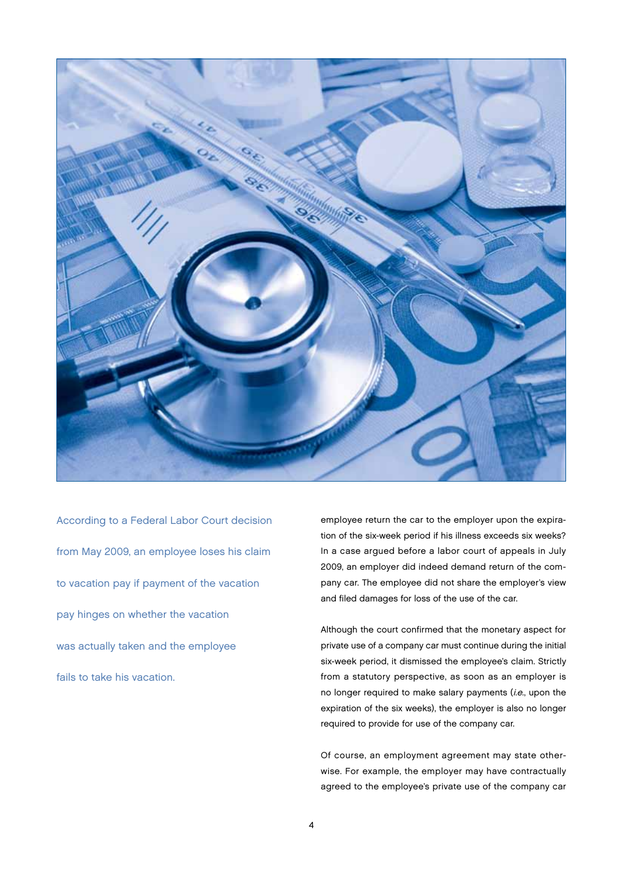

According to a Federal Labor Court decision from May 2009, an employee loses his claim to vacation pay if payment of the vacation pay hinges on whether the vacation was actually taken and the employee fails to take his vacation.

employee return the car to the employer upon the expiration of the six-week period if his illness exceeds six weeks? In a case argued before a labor court of appeals in July 2009, an employer did indeed demand return of the company car. The employee did not share the employer's view and filed damages for loss of the use of the car.

Although the court confirmed that the monetary aspect for private use of a company car must continue during the initial six-week period, it dismissed the employee's claim. Strictly from a statutory perspective, as soon as an employer is no longer required to make salary payments  $(i.e.,$  upon the expiration of the six weeks), the employer is also no longer required to provide for use of the company car.

Of course, an employment agreement may state otherwise. For example, the employer may have contractually agreed to the employee's private use of the company car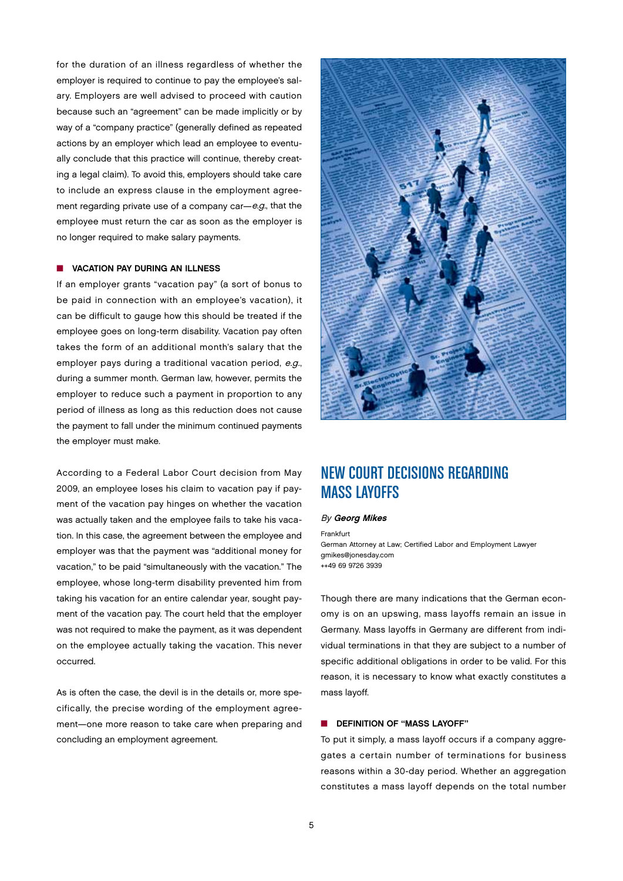for the duration of an illness regardless of whether the employer is required to continue to pay the employee's salary. Employers are well advised to proceed with caution because such an "agreement" can be made implicitly or by way of a "company practice" (generally defined as repeated actions by an employer which lead an employee to eventually conclude that this practice will continue, thereby creating a legal claim). To avoid this, employers should take care to include an express clause in the employment agreement regarding private use of a company car-e.g., that the employee must return the car as soon as the employer is no longer required to make salary payments.

# **N** VACATION PAY DURING AN ILLNESS

If an employer grants "vacation pay" (a sort of bonus to be paid in connection with an employee's vacation), it can be difficult to gauge how this should be treated if the employee goes on long-term disability. Vacation pay often takes the form of an additional month's salary that the employer pays during a traditional vacation period, e.g., during a summer month. German law, however, permits the employer to reduce such a payment in proportion to any period of illness as long as this reduction does not cause the payment to fall under the minimum continued payments the employer must make.

According to a Federal Labor Court decision from May 2009, an employee loses his claim to vacation pay if payment of the vacation pay hinges on whether the vacation was actually taken and the employee fails to take his vacation. In this case, the agreement between the employee and employer was that the payment was "additional money for vacation," to be paid "simultaneously with the vacation." The employee, whose long-term disability prevented him from taking his vacation for an entire calendar year, sought payment of the vacation pay. The court held that the employer was not required to make the payment, as it was dependent on the employee actually taking the vacation. This never occurred.

As is often the case, the devil is in the details or, more specifically, the precise wording of the employment agreement—one more reason to take care when preparing and concluding an employment agreement.



# NEW COURT DECISIONS REGARDING MASS LAYOFFS

#### By Georg Mikes

Frankfurt German Attorney at Law; Certified Labor and Employment Lawyer gmikes@jonesday.com ++49 69 9726 3939

Though there are many indications that the German economy is on an upswing, mass layoffs remain an issue in Germany. Mass layoffs in Germany are different from individual terminations in that they are subject to a number of specific additional obligations in order to be valid. For this reason, it is necessary to know what exactly constitutes a mass layoff.

#### DEFINITION OF "MASS LAYOFF"

To put it simply, a mass layoff occurs if a company aggregates a certain number of terminations for business reasons within a 30-day period. Whether an aggregation constitutes a mass layoff depends on the total number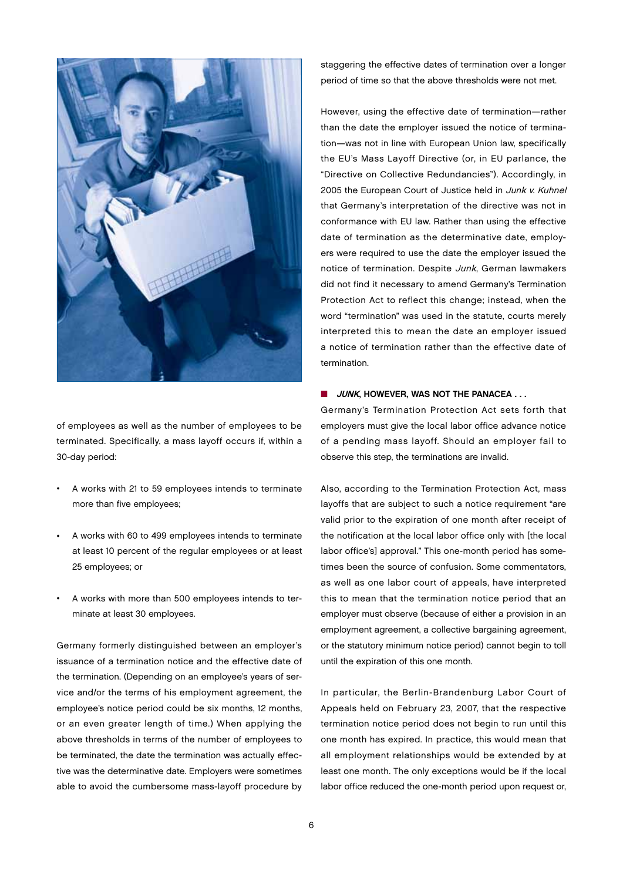

of employees as well as the number of employees to be terminated. Specifically, a mass layoff occurs if, within a 30-day period:

- A works with 21 to 59 employees intends to terminate more than five employees;
- A works with 60 to 499 employees intends to terminate at least 10 percent of the regular employees or at least 25 employees; or
- A works with more than 500 employees intends to terminate at least 30 employees.

Germany formerly distinguished between an employer's issuance of a termination notice and the effective date of the termination. (Depending on an employee's years of service and/or the terms of his employment agreement, the employee's notice period could be six months, 12 months, or an even greater length of time.) When applying the above thresholds in terms of the number of employees to be terminated, the date the termination was actually effective was the determinative date. Employers were sometimes able to avoid the cumbersome mass-layoff procedure by

staggering the effective dates of termination over a longer period of time so that the above thresholds were not met.

However, using the effective date of termination—rather than the date the employer issued the notice of termination—was not in line with European Union law, specifically the EU's Mass Layoff Directive (or, in EU parlance, the "Directive on Collective Redundancies"). Accordingly, in 2005 the European Court of Justice held in Junk v. Kuhnel that Germany's interpretation of the directive was not in conformance with EU law. Rather than using the effective date of termination as the determinative date, employers were required to use the date the employer issued the notice of termination. Despite Junk, German lawmakers did not find it necessary to amend Germany's Termination Protection Act to reflect this change; instead, when the word "termination" was used in the statute, courts merely interpreted this to mean the date an employer issued a notice of termination rather than the effective date of termination.

## $\blacksquare$  JUNK, HOWEVER, WAS NOT THE PANACEA . . .

Germany's Termination Protection Act sets forth that employers must give the local labor office advance notice of a pending mass layoff. Should an employer fail to observe this step, the terminations are invalid.

Also, according to the Termination Protection Act, mass layoffs that are subject to such a notice requirement "are valid prior to the expiration of one month after receipt of the notification at the local labor office only with [the local labor office's] approval." This one-month period has sometimes been the source of confusion. Some commentators, as well as one labor court of appeals, have interpreted this to mean that the termination notice period that an employer must observe (because of either a provision in an employment agreement, a collective bargaining agreement, or the statutory minimum notice period) cannot begin to toll until the expiration of this one month.

In particular, the Berlin-Brandenburg Labor Court of Appeals held on February 23, 2007, that the respective termination notice period does not begin to run until this one month has expired. In practice, this would mean that all employment relationships would be extended by at least one month. The only exceptions would be if the local labor office reduced the one-month period upon request or,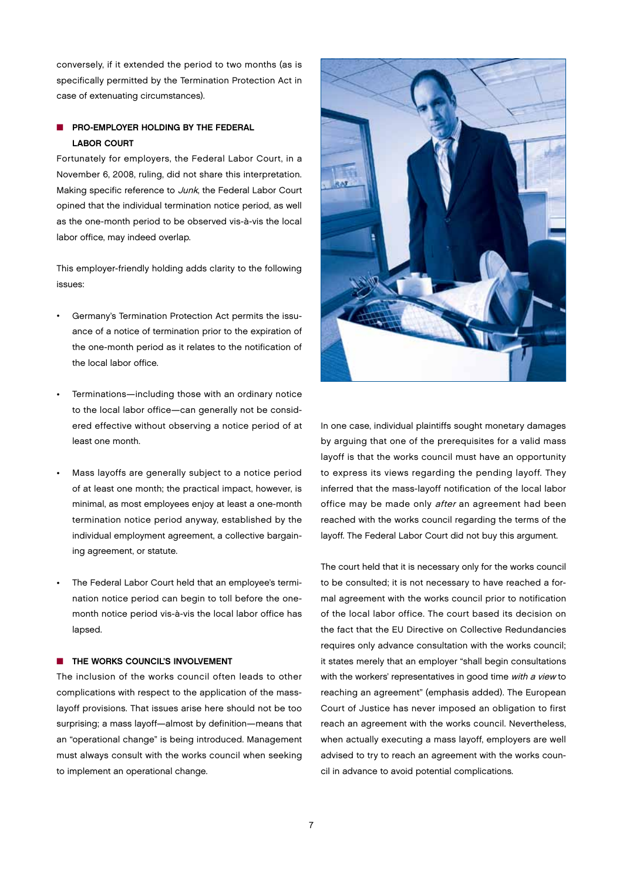conversely, if it extended the period to two months (as is specifically permitted by the Termination Protection Act in case of extenuating circumstances).

# PRO-EMPLOYER HOLDING BY THE FEDERAL Labor Court

Fortunately for employers, the Federal Labor Court, in a November 6, 2008, ruling, did not share this interpretation. Making specific reference to Junk, the Federal Labor Court opined that the individual termination notice period, as well as the one-month period to be observed vis-à-vis the local labor office, may indeed overlap.

This employer-friendly holding adds clarity to the following issues:

- Germany's Termination Protection Act permits the issuance of a notice of termination prior to the expiration of the one-month period as it relates to the notification of the local labor office.
- Terminations-including those with an ordinary notice to the local labor office—can generally not be considered effective without observing a notice period of at least one month.
- Mass layoffs are generally subject to a notice period of at least one month; the practical impact, however, is minimal, as most employees enjoy at least a one-month termination notice period anyway, established by the individual employment agreement, a collective bargaining agreement, or statute.
- The Federal Labor Court held that an employee's termination notice period can begin to toll before the onemonth notice period vis-à-vis the local labor office has lapsed.

## $\blacksquare$  THE WORKS COUNCIL'S INVOLVEMENT

The inclusion of the works council often leads to other complications with respect to the application of the masslayoff provisions. That issues arise here should not be too surprising; a mass layoff—almost by definition—means that an "operational change" is being introduced. Management must always consult with the works council when seeking to implement an operational change.



In one case, individual plaintiffs sought monetary damages by arguing that one of the prerequisites for a valid mass layoff is that the works council must have an opportunity to express its views regarding the pending layoff. They inferred that the mass-layoff notification of the local labor office may be made only after an agreement had been reached with the works council regarding the terms of the layoff. The Federal Labor Court did not buy this argument.

The court held that it is necessary only for the works council to be consulted; it is not necessary to have reached a formal agreement with the works council prior to notification of the local labor office. The court based its decision on the fact that the EU Directive on Collective Redundancies requires only advance consultation with the works council; it states merely that an employer "shall begin consultations with the workers' representatives in good time with a view to reaching an agreement" (emphasis added). The European Court of Justice has never imposed an obligation to first reach an agreement with the works council. Nevertheless, when actually executing a mass layoff, employers are well advised to try to reach an agreement with the works council in advance to avoid potential complications.